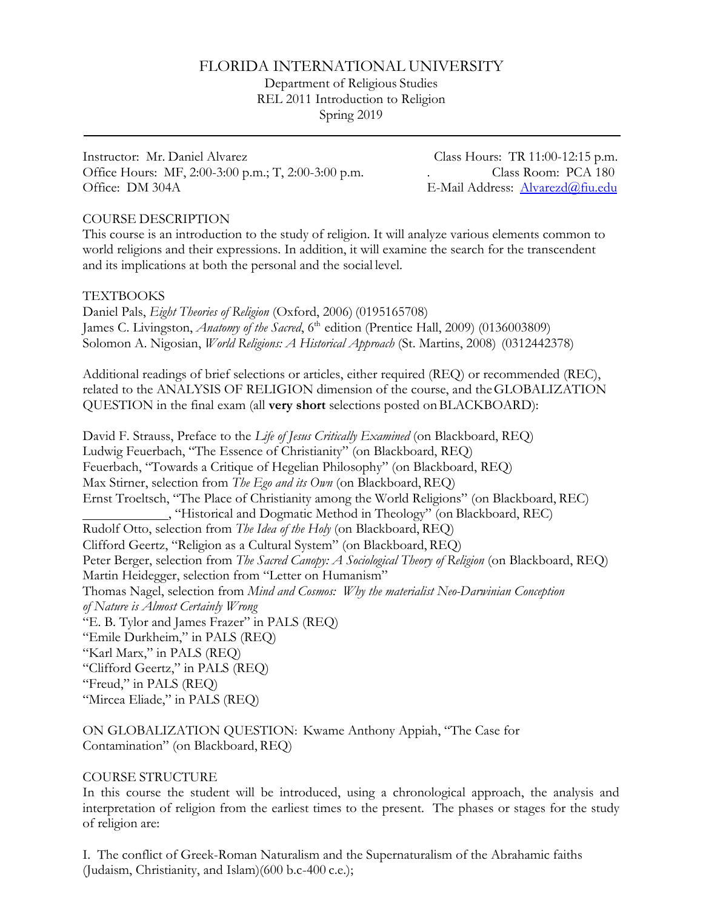# FLORIDA INTERNATIONAL UNIVERSITY

Department of Religious Studies REL 2011 Introduction to Religion Spring 2019

Instructor: Mr. Daniel Alvarez Class Hours: TR 11:00-12:15 p.m. Office Hours: MF, 2:00-3:00 p.m.; T, 2:00-3:00 p.m. Class Room: PCA 180 Office: DM 304A **E-Mail Address: [Alvarezd@fiu.edu](mailto:Alvarezd@fiu.edu)** 

### COURSE DESCRIPTION

This course is an introduction to the study of religion. It will analyze various elements common to world religions and their expressions. In addition, it will examine the search for the transcendent and its implications at both the personal and the social level.

### **TEXTBOOKS**

Daniel Pals, *Eight Theories of Religion* (Oxford, 2006) (0195165708) James C. Livingston, *Anatomy of the Sacred*, 6<sup>th</sup> edition (Prentice Hall, 2009) (0136003809) Solomon A. Nigosian, *World Religions: A Historical Approach* (St. Martins, 2008) (0312442378)

Additional readings of brief selections or articles, either required (REQ) or recommended (REC), related to the ANALYSIS OF RELIGION dimension of the course, and theGLOBALIZATION QUESTION in the final exam (all **very short** selections posted onBLACKBOARD):

David F. Strauss, Preface to the *Life of Jesus Critically Examined* (on Blackboard, REQ) Ludwig Feuerbach, "The Essence of Christianity" (on Blackboard, REQ) Feuerbach, "Towards a Critique of Hegelian Philosophy" (on Blackboard, REQ) Max Stirner, selection from *The Ego and its Own* (on Blackboard, REQ) Ernst Troeltsch, "The Place of Christianity among the World Religions" (on Blackboard, REC) , "Historical and Dogmatic Method in Theology" (on Blackboard, REC) Rudolf Otto, selection from *The Idea of the Holy* (on Blackboard, REQ) Clifford Geertz, "Religion as a Cultural System" (on Blackboard, REQ) Peter Berger, selection from *The Sacred Canopy: A Sociological Theory of Religion* (on Blackboard, REQ) Martin Heidegger, selection from "Letter on Humanism" Thomas Nagel, selection from *Mind and Cosmos: Why the materialist Neo-Darwinian Conception of Nature is Almost Certainly Wrong* "E. B. Tylor and James Frazer" in PALS (REQ) "Emile Durkheim," in PALS (REQ) "Karl Marx," in PALS (REQ) "Clifford Geertz," in PALS (REQ) "Freud," in PALS (REQ) "Mircea Eliade," in PALS (REQ)

ON GLOBALIZATION QUESTION: Kwame Anthony Appiah, "The Case for Contamination" (on Blackboard, REQ)

### COURSE STRUCTURE

In this course the student will be introduced, using a chronological approach, the analysis and interpretation of religion from the earliest times to the present. The phases or stages for the study of religion are:

I. The conflict of Greek-Roman Naturalism and the Supernaturalism of the Abrahamic faiths (Judaism, Christianity, and Islam)(600 b.c-400 c.e.);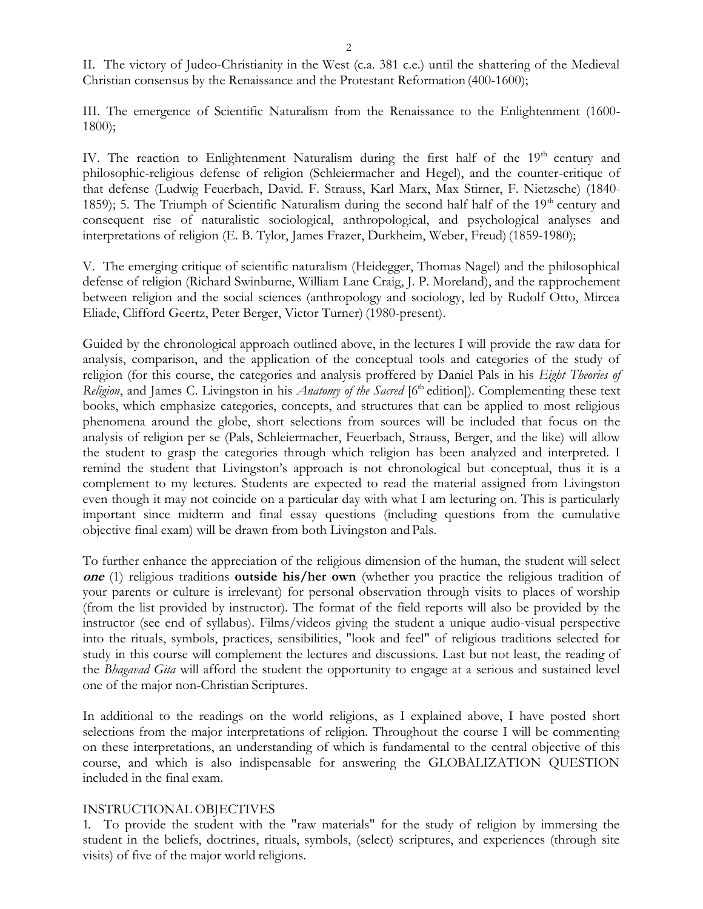II. The victory of Judeo-Christianity in the West (c.a. 381 c.e.) until the shattering of the Medieval Christian consensus by the Renaissance and the Protestant Reformation (400-1600);

III. The emergence of Scientific Naturalism from the Renaissance to the Enlightenment (1600- 1800);

IV. The reaction to Enlightenment Naturalism during the first half of the  $19<sup>th</sup>$  century and philosophic-religious defense of religion (Schleiermacher and Hegel), and the counter-critique of that defense (Ludwig Feuerbach, David. F. Strauss, Karl Marx, Max Stirner, F. Nietzsche) (1840- 1859); 5. The Triumph of Scientific Naturalism during the second half half of the  $19<sup>th</sup>$  century and consequent rise of naturalistic sociological, anthropological, and psychological analyses and interpretations of religion (E. B. Tylor, James Frazer, Durkheim, Weber, Freud) (1859-1980);

V. The emerging critique of scientific naturalism (Heidegger, Thomas Nagel) and the philosophical defense of religion (Richard Swinburne, William Lane Craig, J. P. Moreland), and the rapprochement between religion and the social sciences (anthropology and sociology, led by Rudolf Otto, Mircea Eliade, Clifford Geertz, Peter Berger, Victor Turner) (1980-present).

Guided by the chronological approach outlined above, in the lectures I will provide the raw data for analysis, comparison, and the application of the conceptual tools and categories of the study of religion (for this course, the categories and analysis proffered by Daniel Pals in his *Eight Theories of Religion*, and James C. Livingston in his *Anatomy of the Sacred* [6<sup>th</sup> edition]). Complementing these text books, which emphasize categories, concepts, and structures that can be applied to most religious phenomena around the globe, short selections from sources will be included that focus on the analysis of religion per se (Pals, Schleiermacher, Feuerbach, Strauss, Berger, and the like) will allow the student to grasp the categories through which religion has been analyzed and interpreted. I remind the student that Livingston's approach is not chronological but conceptual, thus it is a complement to my lectures. Students are expected to read the material assigned from Livingston even though it may not coincide on a particular day with what I am lecturing on. This is particularly important since midterm and final essay questions (including questions from the cumulative objective final exam) will be drawn from both Livingston and Pals.

To further enhance the appreciation of the religious dimension of the human, the student will select **one** (1) religious traditions **outside his/her own** (whether you practice the religious tradition of your parents or culture is irrelevant) for personal observation through visits to places of worship (from the list provided by instructor). The format of the field reports will also be provided by the instructor (see end of syllabus). Films/videos giving the student a unique audio-visual perspective into the rituals, symbols, practices, sensibilities, "look and feel" of religious traditions selected for study in this course will complement the lectures and discussions. Last but not least, the reading of the *Bhagavad Gita* will afford the student the opportunity to engage at a serious and sustained level one of the major non-Christian Scriptures.

In additional to the readings on the world religions, as I explained above, I have posted short selections from the major interpretations of religion. Throughout the course I will be commenting on these interpretations, an understanding of which is fundamental to the central objective of this course, and which is also indispensable for answering the GLOBALIZATION QUESTION included in the final exam.

### INSTRUCTIONAL OBJECTIVES

1. To provide the student with the "raw materials" for the study of religion by immersing the student in the beliefs, doctrines, rituals, symbols, (select) scriptures, and experiences (through site visits) of five of the major world religions.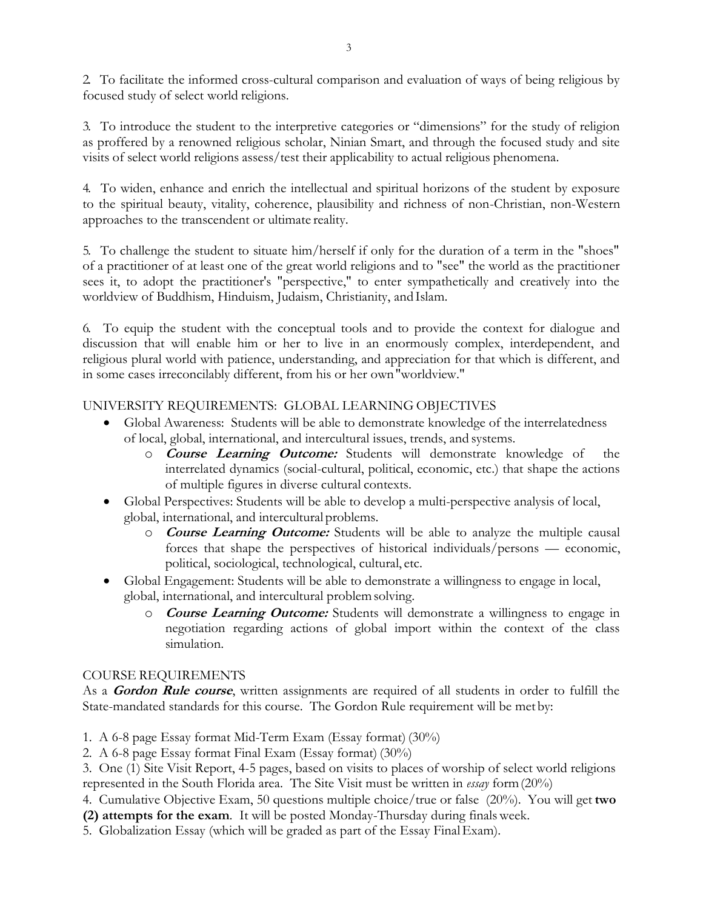2. To facilitate the informed cross-cultural comparison and evaluation of ways of being religious by focused study of select world religions.

3. To introduce the student to the interpretive categories or "dimensions" for the study of religion as proffered by a renowned religious scholar, Ninian Smart, and through the focused study and site visits of select world religions assess/test their applicability to actual religious phenomena.

4. To widen, enhance and enrich the intellectual and spiritual horizons of the student by exposure to the spiritual beauty, vitality, coherence, plausibility and richness of non-Christian, non-Western approaches to the transcendent or ultimate reality.

5. To challenge the student to situate him/herself if only for the duration of a term in the "shoes" of a practitioner of at least one of the great world religions and to "see" the world as the practitioner sees it, to adopt the practitioner's "perspective," to enter sympathetically and creatively into the worldview of Buddhism, Hinduism, Judaism, Christianity, and Islam.

6. To equip the student with the conceptual tools and to provide the context for dialogue and discussion that will enable him or her to live in an enormously complex, interdependent, and religious plural world with patience, understanding, and appreciation for that which is different, and in some cases irreconcilably different, from his or her own"worldview."

# UNIVERSITY REQUIREMENTS: GLOBAL LEARNING OBJECTIVES

- Global Awareness: Students will be able to demonstrate knowledge of the interrelatedness of local, global, international, and intercultural issues, trends, and systems.
	- o **Course Learning Outcome:** Students will demonstrate knowledge of the interrelated dynamics (social-cultural, political, economic, etc.) that shape the actions of multiple figures in diverse cultural contexts.
- Global Perspectives: Students will be able to develop a multi-perspective analysis of local, global, international, and intercultural problems.
	- o **Course Learning Outcome:** Students will be able to analyze the multiple causal forces that shape the perspectives of historical individuals/persons — economic, political, sociological, technological, cultural, etc.
- Global Engagement: Students will be able to demonstrate a willingness to engage in local, global, international, and intercultural problemsolving.
	- o **Course Learning Outcome:** Students will demonstrate a willingness to engage in negotiation regarding actions of global import within the context of the class simulation.

### COURSE REQUIREMENTS

As a **Gordon Rule course**, written assignments are required of all students in order to fulfill the State-mandated standards for this course. The Gordon Rule requirement will be met by:

- 1. A 6-8 page Essay format Mid-Term Exam (Essay format) (30%)
- 2. A 6-8 page Essay format Final Exam (Essay format) (30%)

3. One (1) Site Visit Report, 4-5 pages, based on visits to places of worship of select world religions represented in the South Florida area. The Site Visit must be written in *essay* form(20%)

4. Cumulative Objective Exam, 50 questions multiple choice/true or false (20%). You will get **two (2) attempts for the exam**. It will be posted Monday-Thursday during finalsweek.

5. Globalization Essay (which will be graded as part of the Essay FinalExam).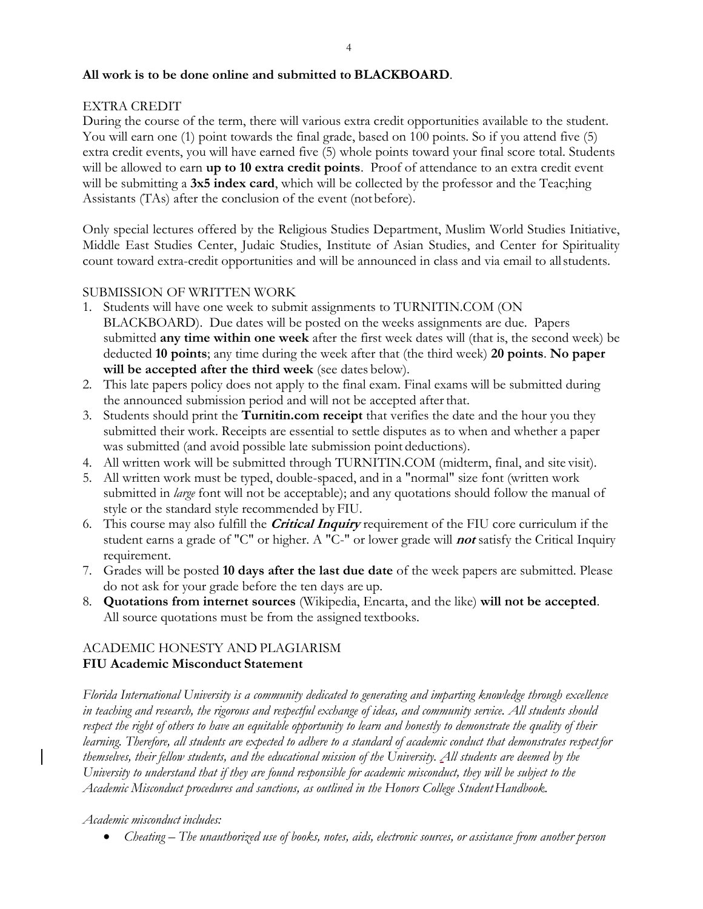### **All work is to be done online and submitted to BLACKBOARD**.

### EXTRA CREDIT

During the course of the term, there will various extra credit opportunities available to the student. You will earn one (1) point towards the final grade, based on 100 points. So if you attend five (5) extra credit events, you will have earned five (5) whole points toward your final score total. Students will be allowed to earn **up to 10 extra credit points**. Proof of attendance to an extra credit event will be submitting a 3x5 index card, which will be collected by the professor and the Teac;hing Assistants (TAs) after the conclusion of the event (not before).

Only special lectures offered by the Religious Studies Department, Muslim World Studies Initiative, Middle East Studies Center, Judaic Studies, Institute of Asian Studies, and Center for Spirituality count toward extra-credit opportunities and will be announced in class and via email to allstudents.

### SUBMISSION OF WRITTEN WORK

- 1. Students will have one week to submit assignments to TURNITIN.COM (ON BLACKBOARD). Due dates will be posted on the weeks assignments are due. Papers submitted **any time within one week** after the first week dates will (that is, the second week) be deducted **10 points**; any time during the week after that (the third week) **20 points**. **No paper will be accepted after the third week** (see dates below).
- 2. This late papers policy does not apply to the final exam. Final exams will be submitted during the announced submission period and will not be accepted after that.
- 3. Students should print the **Turnitin.com receipt** that verifies the date and the hour you they submitted their work. Receipts are essential to settle disputes as to when and whether a paper was submitted (and avoid possible late submission point deductions).
- 4. All written work will be submitted through TURNITIN.COM (midterm, final, and site visit).
- 5. All written work must be typed, double-spaced, and in a "normal" size font (written work submitted in *large* font will not be acceptable); and any quotations should follow the manual of style or the standard style recommended by FIU.
- 6. This course may also fulfill the **Critical Inquiry** requirement of the FIU core curriculum if the student earns a grade of "C" or higher. A "C-" or lower grade will **not** satisfy the Critical Inquiry requirement.
- 7. Grades will be posted **10 days after the last due date** of the week papers are submitted. Please do not ask for your grade before the ten days are up.
- 8. **Quotations from internet sources** (Wikipedia, Encarta, and the like) **will not be accepted**. All source quotations must be from the assigned textbooks.

# ACADEMIC HONESTY AND PLAGIARISM **FIU Academic Misconduct Statement**

*Florida International University is a community dedicated to generating and imparting knowledge through excellence in teaching and research, the rigorous and respectful exchange of ideas, and community service. All students should respect the right of others to have an equitable opportunity to learn and honestly to demonstrate the quality of their learning. Therefore, all students are expected to adhere to a standard of academic conduct that demonstrates respectfor themselves, their fellow students, and the educational mission of the University. All students are deemed by the University to understand that if they are found responsible for academic misconduct, they will be subject to the Academic Misconduct procedures and sanctions, as outlined in the Honors College StudentHandbook.*

### *Academic misconduct includes:*

• *Cheating – The unauthorized use of books, notes, aids, electronic sources, or assistance from another person*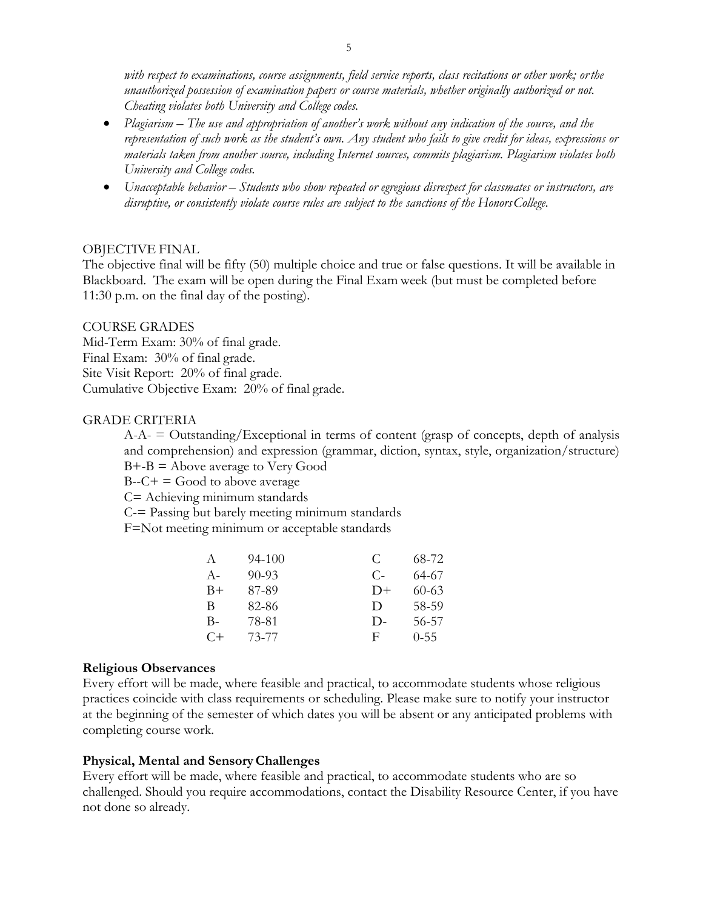*with respect to examinations, course assignments, field service reports, class recitations or other work; orthe unauthorized possession of examination papers or course materials, whether originally authorized or not. Cheating violates both University and College codes.*

- *Plagiarism – The use and appropriation of another's work without any indication of the source, and the representation of such work as the student's own. Any student who fails to give credit for ideas, expressions or materials taken from another source, including Internet sources, commits plagiarism. Plagiarism violates both University and College codes.*
- *Unacceptable behavior – Students who show repeated or egregious disrespect for classmates or instructors, are disruptive, or consistently violate course rules are subject to the sanctions of the HonorsCollege.*

### OBJECTIVE FINAL

The objective final will be fifty (50) multiple choice and true or false questions. It will be available in Blackboard. The exam will be open during the Final Exam week (but must be completed before 11:30 p.m. on the final day of the posting).

#### COURSE GRADES

Mid-Term Exam: 30% of final grade. Final Exam: 30% of final grade. Site Visit Report: 20% of final grade. Cumulative Objective Exam: 20% of final grade.

#### GRADE CRITERIA

 $A-A$ -  $=$  Outstanding/Exceptional in terms of content (grasp of concepts, depth of analysis and comprehension) and expression (grammar, diction, syntax, style, organization/structure)  $B + -B =$  Above average to Very Good

 $B-C+=$  Good to above average

C= Achieving minimum standards

C-= Passing but barely meeting minimum standards

F=Not meeting minimum or acceptable standards

| A     | 94-100    | €      | 68-72    |
|-------|-----------|--------|----------|
| $A -$ | $90 - 93$ | C-     | 64-67    |
| $B+$  | 87-89     | $D+$   | 60-63    |
| В     | 82-86     | $\Box$ | 58-59    |
| В-    | 78-81     | $D-$   | 56-57    |
| $C+$  | 73-77     | F      | $0 - 55$ |

#### **Religious Observances**

Every effort will be made, where feasible and practical, to accommodate students whose religious practices coincide with class requirements or scheduling. Please make sure to notify your instructor at the beginning of the semester of which dates you will be absent or any anticipated problems with completing course work.

#### **Physical, Mental and SensoryChallenges**

Every effort will be made, where feasible and practical, to accommodate students who are so challenged. Should you require accommodations, contact the Disability Resource Center, if you have not done so already.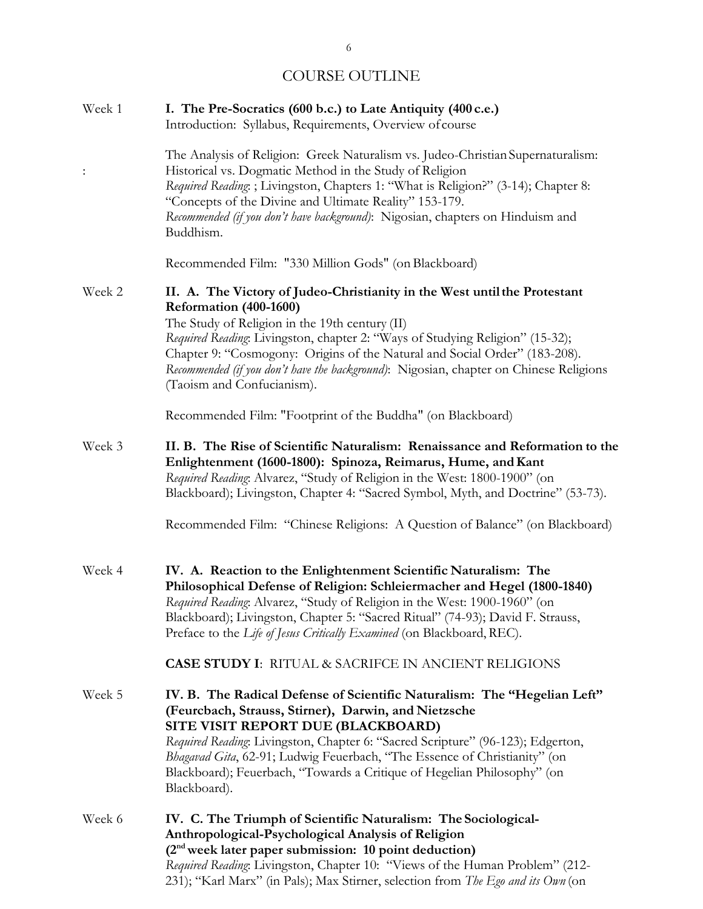# COURSE OUTLINE

| Week 1         | I. The Pre-Socratics (600 b.c.) to Late Antiquity (400 c.e.)<br>Introduction: Syllabus, Requirements, Overview of course                                                                                                                                                                                                                                                                                                                               |
|----------------|--------------------------------------------------------------------------------------------------------------------------------------------------------------------------------------------------------------------------------------------------------------------------------------------------------------------------------------------------------------------------------------------------------------------------------------------------------|
| $\ddot{\cdot}$ | The Analysis of Religion: Greek Naturalism vs. Judeo-Christian Supernaturalism:<br>Historical vs. Dogmatic Method in the Study of Religion<br>Required Reading: ; Livingston, Chapters 1: "What is Religion?" (3-14); Chapter 8:<br>"Concepts of the Divine and Ultimate Reality" 153-179.<br>Recommended (if you don't have background): Nigosian, chapters on Hinduism and<br>Buddhism.                                                              |
|                | Recommended Film: "330 Million Gods" (on Blackboard)                                                                                                                                                                                                                                                                                                                                                                                                   |
| Week 2         | II. A. The Victory of Judeo-Christianity in the West until the Protestant<br>Reformation (400-1600)<br>The Study of Religion in the 19th century (II)<br>Required Reading: Livingston, chapter 2: "Ways of Studying Religion" (15-32);<br>Chapter 9: "Cosmogony: Origins of the Natural and Social Order" (183-208).<br>Recommended (if you don't have the background): Nigosian, chapter on Chinese Religions<br>(Taoism and Confucianism).           |
|                | Recommended Film: "Footprint of the Buddha" (on Blackboard)                                                                                                                                                                                                                                                                                                                                                                                            |
| Week 3         | II. B. The Rise of Scientific Naturalism: Renaissance and Reformation to the<br>Enlightenment (1600-1800): Spinoza, Reimarus, Hume, and Kant<br>Required Reading: Alvarez, "Study of Religion in the West: 1800-1900" (on<br>Blackboard); Livingston, Chapter 4: "Sacred Symbol, Myth, and Doctrine" (53-73).<br>Recommended Film: "Chinese Religions: A Question of Balance" (on Blackboard)                                                          |
| Week 4         | IV. A. Reaction to the Enlightenment Scientific Naturalism: The<br>Philosophical Defense of Religion: Schleiermacher and Hegel (1800-1840)<br>Required Reading: Alvarez, "Study of Religion in the West: 1900-1960" (on<br>Blackboard); Livingston, Chapter 5: "Sacred Ritual" (74-93); David F. Strauss,<br>Preface to the Life of Jesus Critically Examined (on Blackboard, REC).<br><b>CASE STUDY I: RITUAL &amp; SACRIFCE IN ANCIENT RELIGIONS</b> |
| Week 5         | IV. B. The Radical Defense of Scientific Naturalism: The "Hegelian Left"<br>(Feurcbach, Strauss, Stirner), Darwin, and Nietzsche<br>SITE VISIT REPORT DUE (BLACKBOARD)<br>Required Reading: Livingston, Chapter 6: "Sacred Scripture" (96-123); Edgerton,<br>Bhagavad Gita, 62-91; Ludwig Feuerbach, "The Essence of Christianity" (on<br>Blackboard); Feuerbach, "Towards a Critique of Hegelian Philosophy" (on<br>Blackboard).                      |
| Week 6         | IV. C. The Triumph of Scientific Naturalism: The Sociological-<br>Anthropological-Psychological Analysis of Religion<br>(2 <sup>nd</sup> week later paper submission: 10 point deduction)<br>Required Reading: Livingston, Chapter 10: "Views of the Human Problem" (212-                                                                                                                                                                              |

231); "Karl Marx" (in Pals); Max Stirner, selection from *The Ego and its Own* (on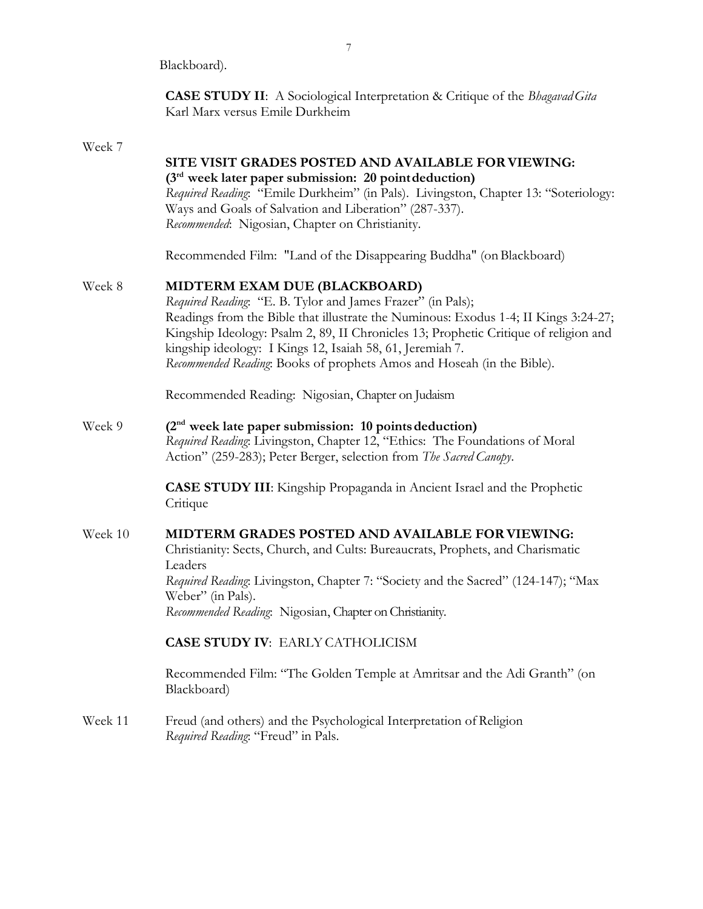Blackboard).

**CASE STUDY II**: A Sociological Interpretation & Critique of the *BhagavadGita* Karl Marx versus Emile Durkheim

# Week 7

|         | SITE VISIT GRADES POSTED AND AVAILABLE FOR VIEWING:<br>$(3rd$ week later paper submission: 20 point deduction)<br>Required Reading: "Emile Durkheim" (in Pals). Livingston, Chapter 13: "Soteriology:<br>Ways and Goals of Salvation and Liberation" (287-337).<br>Recommended: Nigosian, Chapter on Christianity.                                                                                                 |
|---------|--------------------------------------------------------------------------------------------------------------------------------------------------------------------------------------------------------------------------------------------------------------------------------------------------------------------------------------------------------------------------------------------------------------------|
|         | Recommended Film: "Land of the Disappearing Buddha" (on Blackboard)                                                                                                                                                                                                                                                                                                                                                |
| Week 8  | MIDTERM EXAM DUE (BLACKBOARD)<br>Required Reading: "E. B. Tylor and James Frazer" (in Pals);<br>Readings from the Bible that illustrate the Numinous: Exodus 1-4; II Kings 3:24-27;<br>Kingship Ideology: Psalm 2, 89, II Chronicles 13; Prophetic Critique of religion and<br>kingship ideology: I Kings 12, Isaiah 58, 61, Jeremiah 7.<br>Recommended Reading: Books of prophets Amos and Hoseah (in the Bible). |
|         | Recommended Reading: Nigosian, Chapter on Judaism                                                                                                                                                                                                                                                                                                                                                                  |
| Week 9  | $(2nd$ week late paper submission: 10 points deduction)<br>Required Reading: Livingston, Chapter 12, "Ethics: The Foundations of Moral<br>Action" (259-283); Peter Berger, selection from The Sacred Canopy.                                                                                                                                                                                                       |
|         | <b>CASE STUDY III</b> : Kingship Propaganda in Ancient Israel and the Prophetic<br>Critique                                                                                                                                                                                                                                                                                                                        |
| Week 10 | MIDTERM GRADES POSTED AND AVAILABLE FOR VIEWING:<br>Christianity: Sects, Church, and Cults: Bureaucrats, Prophets, and Charismatic<br>Leaders<br>Required Reading: Livingston, Chapter 7: "Society and the Sacred" (124-147); "Max<br>Weber" (in Pals).<br>Recommended Reading: Nigosian, Chapter on Christianity.                                                                                                 |
|         | <b>CASE STUDY IV: EARLY CATHOLICISM</b>                                                                                                                                                                                                                                                                                                                                                                            |
|         | Recommended Film: "The Golden Temple at Amritsar and the Adi Granth" (on<br>Blackboard)                                                                                                                                                                                                                                                                                                                            |
| Week 11 | Freud (and others) and the Psychological Interpretation of Religion<br>Required Reading: "Freud" in Pals.                                                                                                                                                                                                                                                                                                          |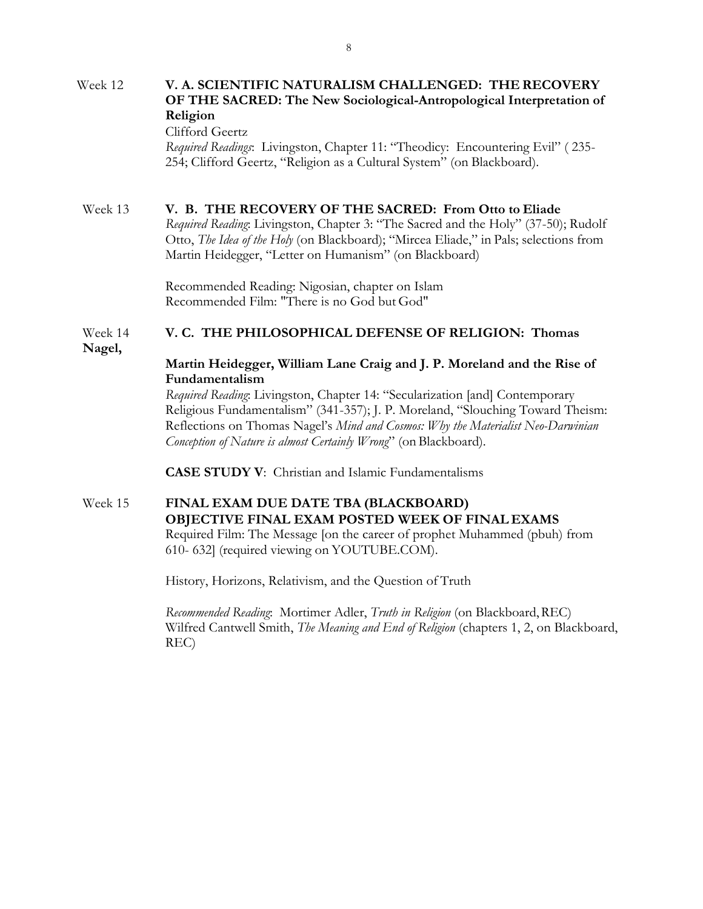#### Week 12 **V. A. SCIENTIFIC NATURALISM CHALLENGED: THE RECOVERY OF THE SACRED: The New Sociological-Antropological Interpretation of Religion**

### Clifford Geertz

*Required Readings*: Livingston, Chapter 11: "Theodicy: Encountering Evil" ( 235- 254; Clifford Geertz, "Religion as a Cultural System" (on Blackboard).

### Week 13 **V. B. THE RECOVERY OF THE SACRED: From Otto to Eliade**

*Required Reading*: Livingston, Chapter 3: "The Sacred and the Holy" (37-50); Rudolf Otto, *The Idea of the Holy* (on Blackboard); "Mircea Eliade," in Pals; selections from Martin Heidegger, "Letter on Humanism" (on Blackboard)

Recommended Reading: Nigosian, chapter on Islam Recommended Film: "There is no God but God"

# Week 14 **V. C. THE PHILOSOPHICAL DEFENSE OF RELIGION: Thomas**

**Nagel,**

### **Martin Heidegger, William Lane Craig and J. P. Moreland and the Rise of Fundamentalism**

*Required Reading*: Livingston, Chapter 14: "Secularization [and] Contemporary Religious Fundamentalism" (341-357); J. P. Moreland, "Slouching Toward Theism: Reflections on Thomas Nagel's *Mind and Cosmos: Why the Materialist Neo-Darwinian Conception of Nature is almost Certainly Wrong*" (on Blackboard).

**CASE STUDY V**: Christian and Islamic Fundamentalisms

### Week 15 **FINAL EXAM DUE DATE TBA (BLACKBOARD) OBJECTIVE FINAL EXAM POSTED WEEK OF FINAL EXAMS** Required Film: The Message [on the career of prophet Muhammed (pbuh) from 610- 632] (required viewing on YOUTUBE.COM).

History, Horizons, Relativism, and the Question of Truth

*Recommended Reading*: Mortimer Adler, *Truth in Religion* (on Blackboard,REC) Wilfred Cantwell Smith, *The Meaning and End of Religion* (chapters 1, 2, on Blackboard, REC)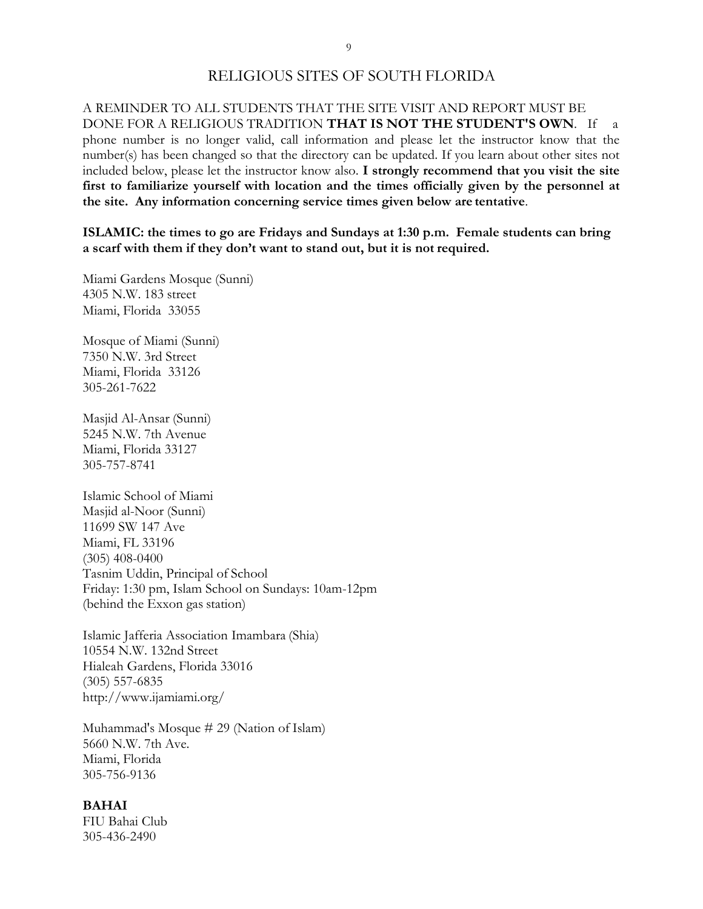### RELIGIOUS SITES OF SOUTH FLORIDA

A REMINDER TO ALL STUDENTS THAT THE SITE VISIT AND REPORT MUST BE DONE FOR A RELIGIOUS TRADITION **THAT IS NOT THE STUDENT'S OWN**. If a phone number is no longer valid, call information and please let the instructor know that the number(s) has been changed so that the directory can be updated. If you learn about other sites not included below, please let the instructor know also. **I strongly recommend that you visit the site first to familiarize yourself with location and the times officially given by the personnel at the site. Any information concerning service times given below are tentative**.

**ISLAMIC: the times to go are Fridays and Sundays at 1:30 p.m. Female students can bring a scarf with them if they don't want to stand out, but it is not required.**

Miami Gardens Mosque (Sunni) 4305 N.W. 183 street Miami, Florida 33055

Mosque of Miami (Sunni) 7350 N.W. 3rd Street Miami, Florida 33126 305-261-7622

Masjid Al-Ansar (Sunni) 5245 N.W. 7th Avenue Miami, Florida 33127 305-757-8741

Islamic School of Miami Masjid al-Noor (Sunni) 11699 SW 147 Ave Miami, FL 33196 (305) 408-0400 Tasnim Uddin, Principal of School Friday: 1:30 pm, Islam School on Sundays: 10am-12pm (behind the Exxon gas station)

Islamic Jafferia Association Imambara (Shia) 10554 N.W. 132nd Street Hialeah Gardens, Florida 33016 (305) 557-6835 <http://www.ijamiami.org/>

Muhammad's Mosque # 29 (Nation of Islam) 5660 N.W. 7th Ave. Miami, Florida 305-756-9136

#### **BAHAI**

FIU Bahai Club 305-436-2490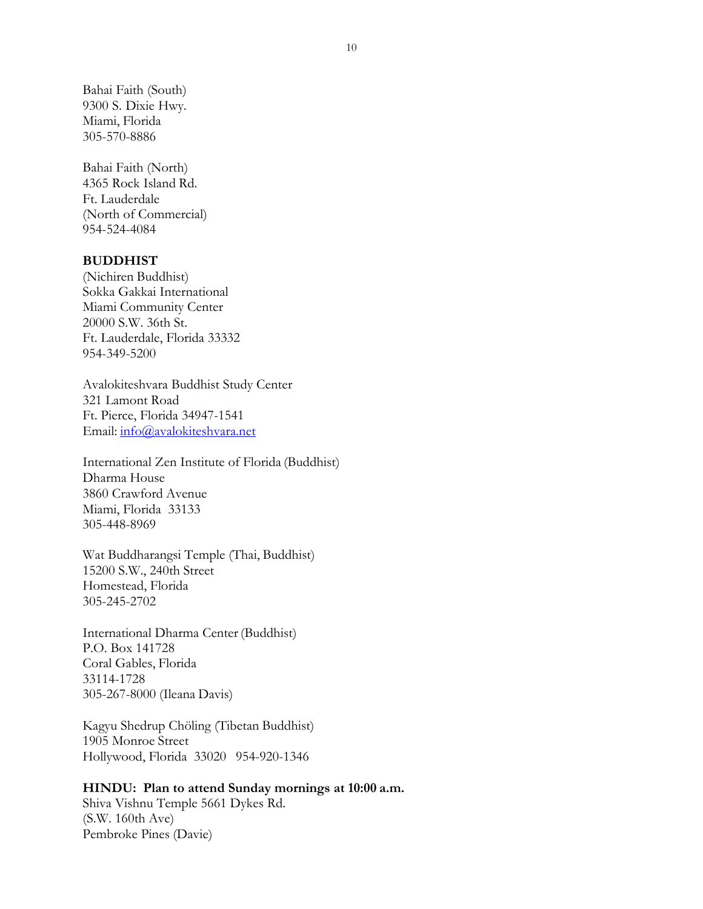Bahai Faith (South) 9300 S. Dixie Hwy. Miami, Florida 305-570-8886

Bahai Faith (North) 4365 Rock Island Rd. Ft. Lauderdale (North of Commercial) 954-524-4084

#### **BUDDHIST**

(Nichiren Buddhist) Sokka Gakkai International Miami Community Center 20000 S.W. 36th St. Ft. Lauderdale, Florida 33332 954-349-5200

Avalokiteshvara Buddhist Study Center 321 Lamont Road Ft. Pierce, Florida 34947-1541 Email: [info@avalokiteshvara.net](mailto:info@avalokiteshvara.net)

International Zen Institute of Florida (Buddhist) Dharma House 3860 Crawford Avenue Miami, Florida 33133 305-448-8969

Wat Buddharangsi Temple (Thai, Buddhist) 15200 S.W., 240th Street Homestead, Florida 305-245-2702

International Dharma Center(Buddhist) P.O. Box 141728 Coral Gables, Florida 33114-1728 305-267-8000 (Ileana Davis)

Kagyu Shedrup Chöling (Tibetan Buddhist) 1905 Monroe Street Hollywood, Florida 33020 954-920-1346

### **HINDU: Plan to attend Sunday mornings at 10:00 a.m.**

Shiva Vishnu Temple 5661 Dykes Rd. (S.W. 160th Ave) Pembroke Pines (Davie)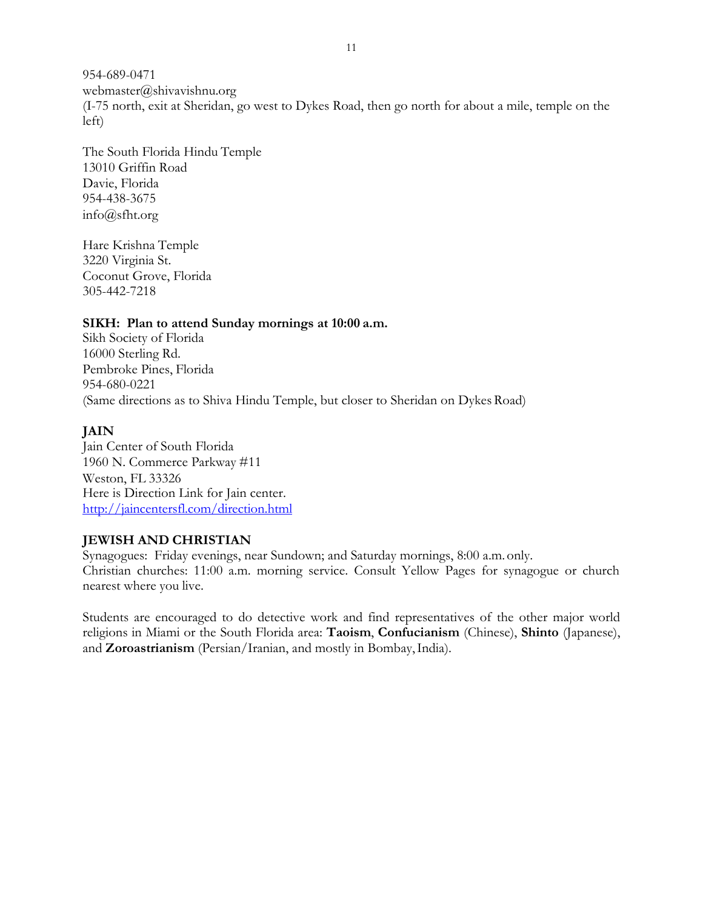954-689-0471 [webmaster@shivavishnu.org](mailto:webmaster@shivavishnu.org) (I-75 north, exit at Sheridan, go west to Dykes Road, then go north for about a mile, temple on the left)

The South Florida Hindu Temple 13010 Griffin Road Davie, Florida 954-438-3675 [info@sfht.org](mailto:info@sfht.org)

Hare Krishna Temple 3220 Virginia St. Coconut Grove, Florida 305-442-7218

### **SIKH: Plan to attend Sunday mornings at 10:00 a.m.**

Sikh Society of Florida 16000 Sterling Rd. Pembroke Pines, Florida 954-680-0221 (Same directions as to Shiva Hindu Temple, but closer to Sheridan on Dykes Road)

# **JAIN**

Jain Center of South Florida 1960 N. Commerce Parkway #11 Weston, FL 33326 Here is Direction Link for Jain center. <http://jaincentersfl.com/direction.html>

### **JEWISH AND CHRISTIAN**

Synagogues: Friday evenings, near Sundown; and Saturday mornings, 8:00 a.m. only. Christian churches: 11:00 a.m. morning service. Consult Yellow Pages for synagogue or church nearest where you live.

Students are encouraged to do detective work and find representatives of the other major world religions in Miami or the South Florida area: **Taoism**, **Confucianism** (Chinese), **Shinto** (Japanese), and **Zoroastrianism** (Persian/Iranian, and mostly in Bombay,India).